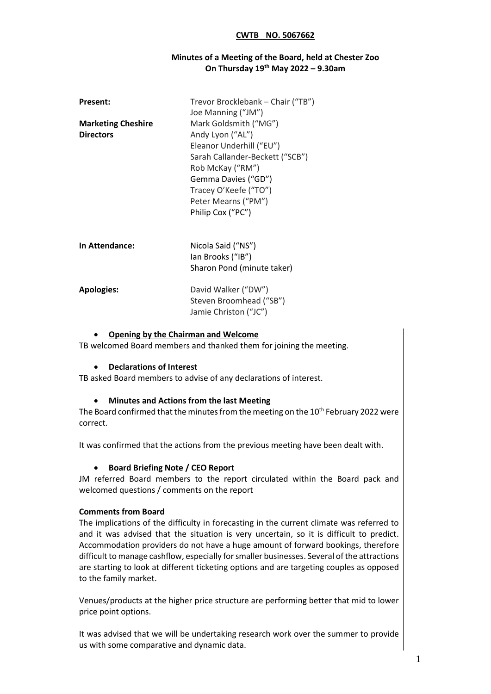#### **Minutes of a Meeting of the Board, held at Chester Zoo On Thursday 19th May 2022 – 9.30am**

| <b>Present:</b>                               | Trevor Brocklebank - Chair ("TB")<br>Joe Manning ("JM")                                                                                                                                                                  |
|-----------------------------------------------|--------------------------------------------------------------------------------------------------------------------------------------------------------------------------------------------------------------------------|
| <b>Marketing Cheshire</b><br><b>Directors</b> | Mark Goldsmith ("MG")<br>Andy Lyon ("AL")<br>Eleanor Underhill ("EU")<br>Sarah Callander-Beckett ("SCB")<br>Rob McKay ("RM")<br>Gemma Davies ("GD")<br>Tracey O'Keefe ("TO")<br>Peter Mearns ("PM")<br>Philip Cox ("PC") |
| In Attendance:                                | Nicola Said ("NS")<br>lan Brooks ("IB")<br>Sharon Pond (minute taker)                                                                                                                                                    |
| <b>Apologies:</b>                             | David Walker ("DW")<br>Steven Broomhead ("SB")<br>Jamie Christon ("JC")                                                                                                                                                  |

#### • **Opening by the Chairman and Welcome**

TB welcomed Board members and thanked them for joining the meeting.

#### • **Declarations of Interest**

TB asked Board members to advise of any declarations of interest.

#### • **Minutes and Actions from the last Meeting**

The Board confirmed that the minutes from the meeting on the  $10<sup>th</sup>$  February 2022 were correct.

It was confirmed that the actions from the previous meeting have been dealt with.

#### • **Board Briefing Note / CEO Report**

JM referred Board members to the report circulated within the Board pack and welcomed questions / comments on the report

#### **Comments from Board**

The implications of the difficulty in forecasting in the current climate was referred to and it was advised that the situation is very uncertain, so it is difficult to predict. Accommodation providers do not have a huge amount of forward bookings, therefore difficult to manage cashflow, especially for smaller businesses. Several of the attractions are starting to look at different ticketing options and are targeting couples as opposed to the family market.

Venues/products at the higher price structure are performing better that mid to lower price point options.

It was advised that we will be undertaking research work over the summer to provide us with some comparative and dynamic data.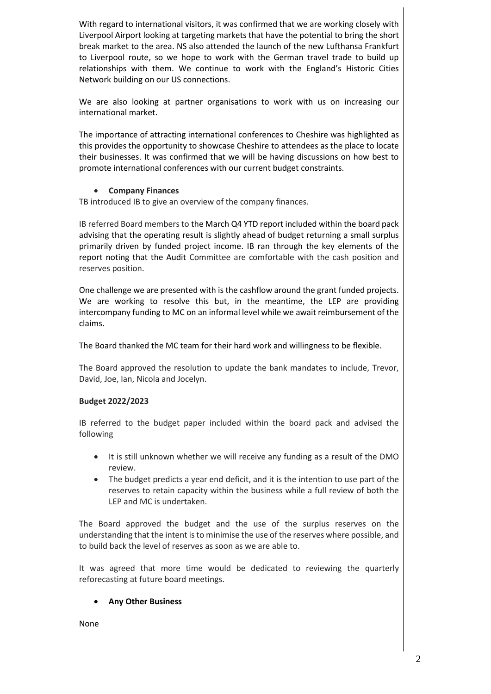With regard to international visitors, it was confirmed that we are working closely with Liverpool Airport looking at targeting markets that have the potential to bring the short break market to the area. NS also attended the launch of the new Lufthansa Frankfurt to Liverpool route, so we hope to work with the German travel trade to build up relationships with them. We continue to work with the England's Historic Cities Network building on our US connections.

We are also looking at partner organisations to work with us on increasing our international market.

The importance of attracting international conferences to Cheshire was highlighted as this provides the opportunity to showcase Cheshire to attendees as the place to locate their businesses. It was confirmed that we will be having discussions on how best to promote international conferences with our current budget constraints.

### • **Company Finances**

TB introduced IB to give an overview of the company finances.

IB referred Board members to the March Q4 YTD report included within the board pack advising that the operating result is slightly ahead of budget returning a small surplus primarily driven by funded project income. IB ran through the key elements of the report noting that the Audit Committee are comfortable with the cash position and reserves position.

One challenge we are presented with is the cashflow around the grant funded projects. We are working to resolve this but, in the meantime, the LEP are providing intercompany funding to MC on an informal level while we await reimbursement of the claims.

The Board thanked the MC team for their hard work and willingness to be flexible.

The Board approved the resolution to update the bank mandates to include, Trevor, David, Joe, Ian, Nicola and Jocelyn.

#### **Budget 2022/2023**

IB referred to the budget paper included within the board pack and advised the following

- It is still unknown whether we will receive any funding as a result of the DMO review.
- The budget predicts a year end deficit, and it is the intention to use part of the reserves to retain capacity within the business while a full review of both the LEP and MC is undertaken.

The Board approved the budget and the use of the surplus reserves on the understanding that the intent is to minimise the use of the reserves where possible, and to build back the level of reserves as soon as we are able to.

It was agreed that more time would be dedicated to reviewing the quarterly reforecasting at future board meetings.

## • **Any Other Business**

None